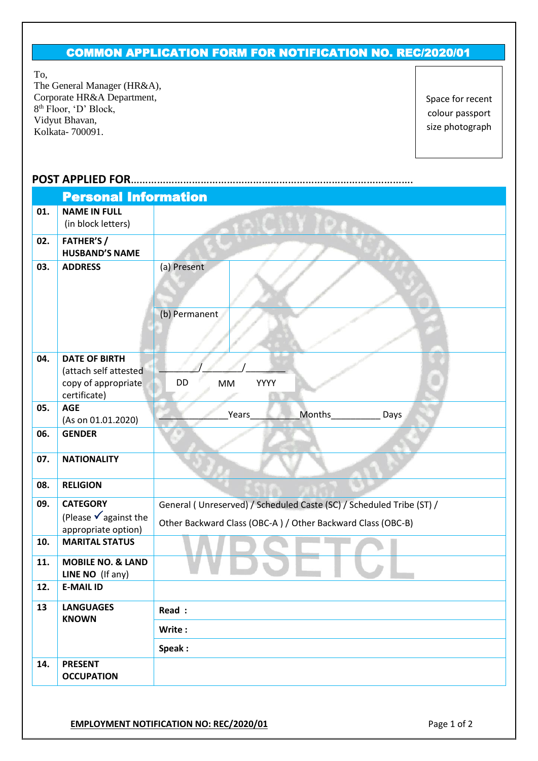## COMMON APPLICATION FORM FOR NOTIFICATION NO. REC/2020/01

To,

The General Manager (HR&A), Corporate HR&A Department, 8 th Floor, 'D' Block, Vidyut Bhavan, Kolkata- 700091.

Space for recent colour passport size photograph

## **POST APPLIED FOR**…………………………………………………………………………………….

|     | <b>Personal Information</b>                  |                                                                      |  |  |  |  |  |  |
|-----|----------------------------------------------|----------------------------------------------------------------------|--|--|--|--|--|--|
| 01. | <b>NAME IN FULL</b>                          |                                                                      |  |  |  |  |  |  |
|     | (in block letters)                           |                                                                      |  |  |  |  |  |  |
| 02. | <b>FATHER'S/</b>                             |                                                                      |  |  |  |  |  |  |
|     | <b>HUSBAND'S NAME</b>                        |                                                                      |  |  |  |  |  |  |
| 03. | <b>ADDRESS</b>                               | (a) Present                                                          |  |  |  |  |  |  |
|     |                                              |                                                                      |  |  |  |  |  |  |
|     |                                              |                                                                      |  |  |  |  |  |  |
|     |                                              | (b) Permanent                                                        |  |  |  |  |  |  |
|     |                                              |                                                                      |  |  |  |  |  |  |
|     |                                              |                                                                      |  |  |  |  |  |  |
| 04. | <b>DATE OF BIRTH</b>                         |                                                                      |  |  |  |  |  |  |
|     | (attach self attested<br>copy of appropriate | DD<br>YYYY<br><b>MM</b>                                              |  |  |  |  |  |  |
|     | certificate)                                 |                                                                      |  |  |  |  |  |  |
| 05. | <b>AGE</b>                                   |                                                                      |  |  |  |  |  |  |
|     | (As on 01.01.2020)                           | Months_<br>Years<br>Days                                             |  |  |  |  |  |  |
| 06. | <b>GENDER</b>                                |                                                                      |  |  |  |  |  |  |
|     |                                              |                                                                      |  |  |  |  |  |  |
| 07. | <b>NATIONALITY</b>                           |                                                                      |  |  |  |  |  |  |
| 08. | <b>RELIGION</b>                              |                                                                      |  |  |  |  |  |  |
| 09. | <b>CATEGORY</b>                              | General (Unreserved) / Scheduled Caste (SC) / Scheduled Tribe (ST) / |  |  |  |  |  |  |
|     | (Please $\sqrt{ }$ against the               |                                                                      |  |  |  |  |  |  |
|     | appropriate option)                          | Other Backward Class (OBC-A) / Other Backward Class (OBC-B)          |  |  |  |  |  |  |
| 10. | <b>MARITAL STATUS</b>                        |                                                                      |  |  |  |  |  |  |
| 11. | <b>MOBILE NO. &amp; LAND</b>                 |                                                                      |  |  |  |  |  |  |
|     | LINE NO (If any)                             |                                                                      |  |  |  |  |  |  |
| 12. | <b>E-MAIL ID</b>                             |                                                                      |  |  |  |  |  |  |
| 13  | <b>LANGUAGES</b>                             | Read :                                                               |  |  |  |  |  |  |
|     | <b>KNOWN</b>                                 | Write:                                                               |  |  |  |  |  |  |
|     |                                              |                                                                      |  |  |  |  |  |  |
|     |                                              | Speak:                                                               |  |  |  |  |  |  |
| 14. | <b>PRESENT</b><br><b>OCCUPATION</b>          |                                                                      |  |  |  |  |  |  |
|     |                                              |                                                                      |  |  |  |  |  |  |
|     |                                              |                                                                      |  |  |  |  |  |  |